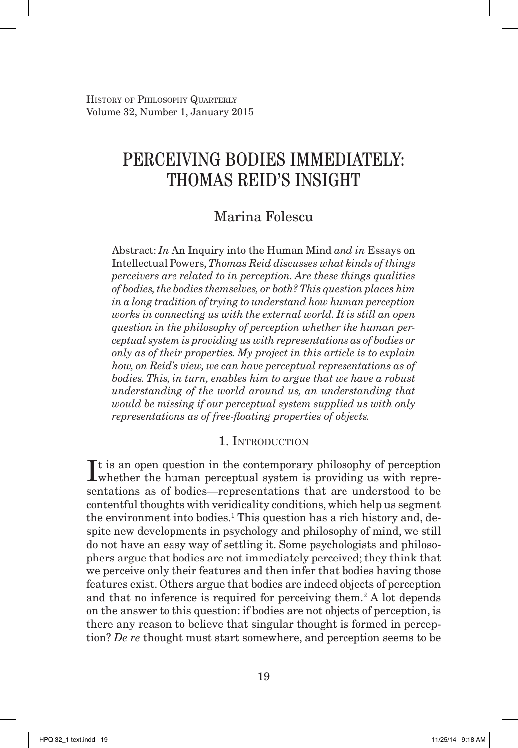# Perceiving Bodies Immediately: Thomas Reid's Insight

## Marina Folescu

Abstract: *In* An Inquiry into the Human Mind *and in* Essays on Intellectual Powers, *Thomas Reid discusses what kinds of things perceivers are related to in perception. Are these things qualities of bodies, the bodies themselves, or both? This question places him in a long tradition of trying to understand how human perception works in connecting us with the external world. It is still an open question in the philosophy of perception whether the human perceptual system is providing us with representations as of bodies or only as of their properties. My project in this article is to explain how, on Reid's view, we can have perceptual representations as of bodies. This, in turn, enables him to argue that we have a robust understanding of the world around us, an understanding that would be missing if our perceptual system supplied us with only representations as of free-floating properties of objects.*

### 1. INTRODUCTION

It is an open question in the contemporary philosophy of perception whether the human perceptual system is providing us with reprewhether the human perceptual system is providing us with representations as of bodies—representations that are understood to be contentful thoughts with veridicality conditions, which help us segment the environment into bodies.<sup>1</sup> This question has a rich history and, despite new developments in psychology and philosophy of mind, we still do not have an easy way of settling it. Some psychologists and philosophers argue that bodies are not immediately perceived; they think that we perceive only their features and then infer that bodies having those features exist. Others argue that bodies are indeed objects of perception and that no inference is required for perceiving them.<sup>2</sup> A lot depends on the answer to this question: if bodies are not objects of perception, is there any reason to believe that singular thought is formed in perception? *De re* thought must start somewhere, and perception seems to be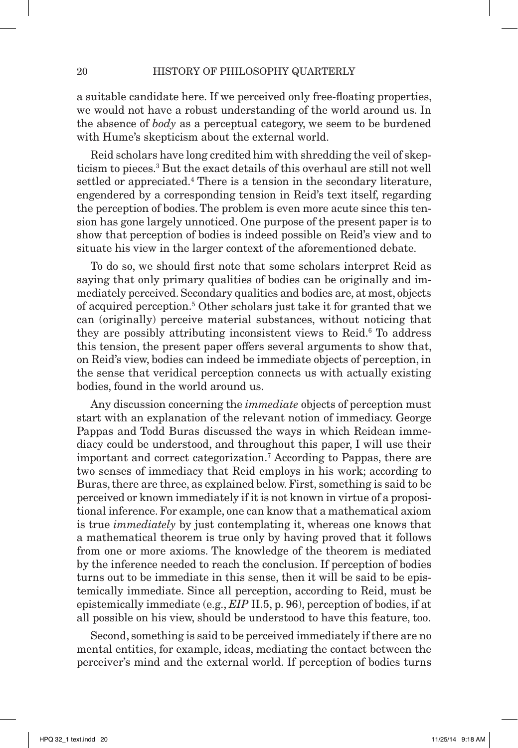a suitable candidate here. If we perceived only free-floating properties, we would not have a robust understanding of the world around us. In the absence of *body* as a perceptual category, we seem to be burdened with Hume's skepticism about the external world.

 Reid scholars have long credited him with shredding the veil of skepticism to pieces.3 But the exact details of this overhaul are still not well settled or appreciated.<sup>4</sup> There is a tension in the secondary literature, engendered by a corresponding tension in Reid's text itself, regarding the perception of bodies. The problem is even more acute since this tension has gone largely unnoticed. One purpose of the present paper is to show that perception of bodies is indeed possible on Reid's view and to situate his view in the larger context of the aforementioned debate.

To do so, we should first note that some scholars interpret Reid as saying that only primary qualities of bodies can be originally and immediately perceived. Secondary qualities and bodies are, at most, objects of acquired perception.5 Other scholars just take it for granted that we can (originally) perceive material substances, without noticing that they are possibly attributing inconsistent views to Reid.<sup>6</sup> To address this tension, the present paper offers several arguments to show that, on Reid's view, bodies can indeed be immediate objects of perception, in the sense that veridical perception connects us with actually existing bodies, found in the world around us.

Any discussion concerning the *immediate* objects of perception must start with an explanation of the relevant notion of immediacy. George Pappas and Todd Buras discussed the ways in which Reidean immediacy could be understood, and throughout this paper, I will use their important and correct categorization.7 According to Pappas, there are two senses of immediacy that Reid employs in his work; according to Buras, there are three, as explained below. First, something is said to be perceived or known immediately if it is not known in virtue of a propositional inference. For example, one can know that a mathematical axiom is true *immediately* by just contemplating it, whereas one knows that a mathematical theorem is true only by having proved that it follows from one or more axioms. The knowledge of the theorem is mediated by the inference needed to reach the conclusion. If perception of bodies turns out to be immediate in this sense, then it will be said to be epistemically immediate. Since all perception, according to Reid, must be epistemically immediate (e.g., *EIP* II.5, p. 96), perception of bodies, if at all possible on his view, should be understood to have this feature, too.

 Second, something is said to be perceived immediately if there are no mental entities, for example, ideas, mediating the contact between the perceiver's mind and the external world. If perception of bodies turns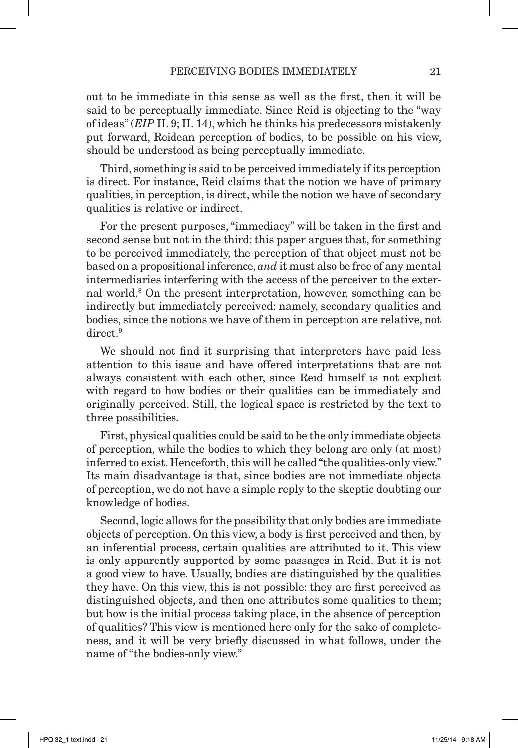out to be immediate in this sense as well as the first, then it will be said to be perceptually immediate. Since Reid is objecting to the "way of ideas" (*EIP* II. 9; II. 14), which he thinks his predecessors mistakenly put forward, Reidean perception of bodies, to be possible on his view, should be understood as being perceptually immediate.

Third, something is said to be perceived immediately if its perception is direct. For instance, Reid claims that the notion we have of primary qualities, in perception, is direct, while the notion we have of secondary qualities is relative or indirect.

 For the present purposes, "immediacy" will be taken in the first and second sense but not in the third: this paper argues that, for something to be perceived immediately, the perception of that object must not be based on a propositional inference, *and* it must also be free of any mental intermediaries interfering with the access of the perceiver to the external world.8 On the present interpretation, however, something can be indirectly but immediately perceived: namely, secondary qualities and bodies, since the notions we have of them in perception are relative, not direct.<sup>9</sup>

We should not find it surprising that interpreters have paid less attention to this issue and have offered interpretations that are not always consistent with each other, since Reid himself is not explicit with regard to how bodies or their qualities can be immediately and originally perceived. Still, the logical space is restricted by the text to three possibilities.

 First, physical qualities could be said to be the only immediate objects of perception, while the bodies to which they belong are only (at most) inferred to exist. Henceforth, this will be called "the qualities-only view." Its main disadvantage is that, since bodies are not immediate objects of perception, we do not have a simple reply to the skeptic doubting our knowledge of bodies.

 Second, logic allows for the possibility that only bodies are immediate objects of perception. On this view, a body is first perceived and then, by an inferential process, certain qualities are attributed to it. This view is only apparently supported by some passages in Reid. But it is not a good view to have. Usually, bodies are distinguished by the qualities they have. On this view, this is not possible: they are first perceived as distinguished objects, and then one attributes some qualities to them; but how is the initial process taking place, in the absence of perception of qualities? This view is mentioned here only for the sake of completeness, and it will be very briefly discussed in what follows, under the name of "the bodies-only view."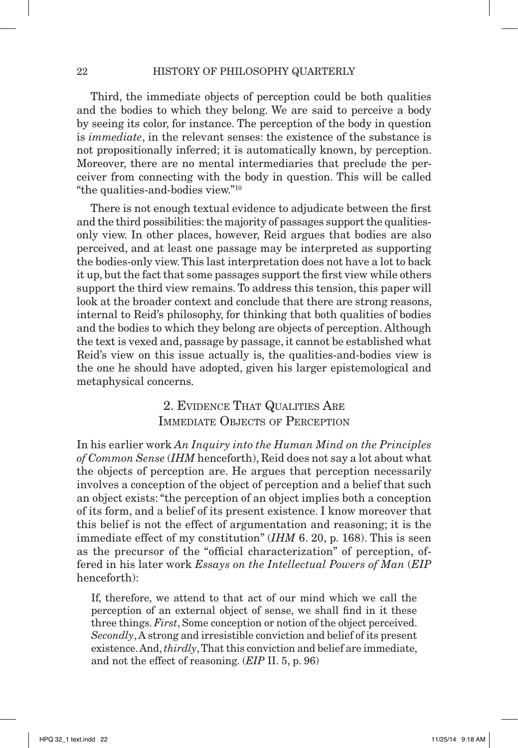Third, the immediate objects of perception could be both qualities and the bodies to which they belong. We are said to perceive a body by seeing its color, for instance. The perception of the body in question is *immediate*, in the relevant senses: the existence of the substance is not propositionally inferred; it is automatically known, by perception. Moreover, there are no mental intermediaries that preclude the perceiver from connecting with the body in question. This will be called "the qualities-and-bodies view."10

There is not enough textual evidence to adjudicate between the first and the third possibilities: the majority of passages support the qualitiesonly view. In other places, however, Reid argues that bodies are also perceived, and at least one passage may be interpreted as supporting the bodies-only view. This last interpretation does not have a lot to back it up, but the fact that some passages support the first view while others support the third view remains. To address this tension, this paper will look at the broader context and conclude that there are strong reasons, internal to Reid's philosophy, for thinking that both qualities of bodies and the bodies to which they belong are objects of perception. Although the text is vexed and, passage by passage, it cannot be established what Reid's view on this issue actually is, the qualities-and-bodies view is the one he should have adopted, given his larger epistemological and metaphysical concerns.

## 2. Evidence That Qualities Are IMMEDIATE OBJECTS OF PERCEPTION

In his earlier work *An Inquiry into the Human Mind on the Principles of Common Sense* (*IHM* henceforth), Reid does not say a lot about what the objects of perception are. He argues that perception necessarily involves a conception of the object of perception and a belief that such an object exists: "the perception of an object implies both a conception of its form, and a belief of its present existence. I know moreover that this belief is not the effect of argumentation and reasoning; it is the immediate effect of my constitution" (*IHM* 6. 20, p. 168). This is seen as the precursor of the "official characterization" of perception, offered in his later work *Essays on the Intellectual Powers of Man* (*EIP* henceforth):

If, therefore, we attend to that act of our mind which we call the perception of an external object of sense, we shall find in it these three things. *First*, Some conception or notion of the object perceived. *Secondly*, A strong and irresistible conviction and belief of its present existence. And, *thirdly*, That this conviction and belief are immediate, and not the effect of reasoning. (*EIP* II. 5, p. 96)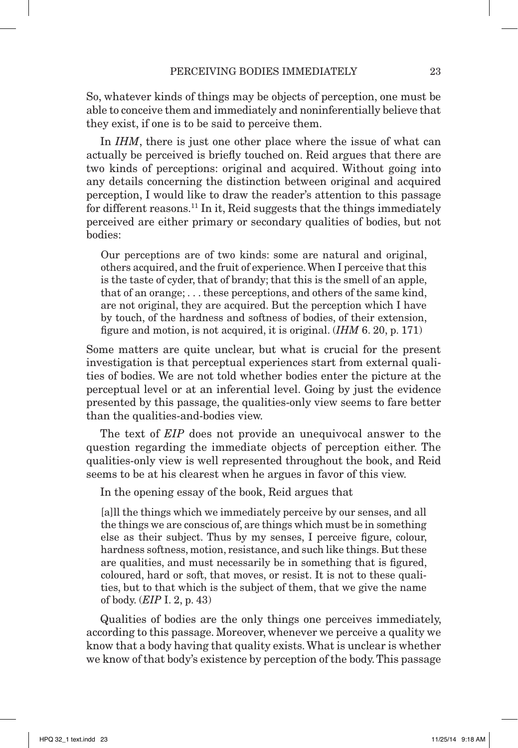So, whatever kinds of things may be objects of perception, one must be able to conceive them and immediately and noninferentially believe that they exist, if one is to be said to perceive them.

In *IHM*, there is just one other place where the issue of what can actually be perceived is briefly touched on. Reid argues that there are two kinds of perceptions: original and acquired. Without going into any details concerning the distinction between original and acquired perception, I would like to draw the reader's attention to this passage for different reasons.<sup>11</sup> In it, Reid suggests that the things immediately perceived are either primary or secondary qualities of bodies, but not bodies:

Our perceptions are of two kinds: some are natural and original, others acquired, and the fruit of experience. When I perceive that this is the taste of cyder, that of brandy; that this is the smell of an apple, that of an orange; . . . these perceptions, and others of the same kind, are not original, they are acquired. But the perception which I have by touch, of the hardness and softness of bodies, of their extension, figure and motion, is not acquired, it is original. (*IHM* 6. 20, p. 171)

Some matters are quite unclear, but what is crucial for the present investigation is that perceptual experiences start from external qualities of bodies. We are not told whether bodies enter the picture at the perceptual level or at an inferential level. Going by just the evidence presented by this passage, the qualities-only view seems to fare better than the qualities-and-bodies view.

The text of *EIP* does not provide an unequivocal answer to the question regarding the immediate objects of perception either. The qualities-only view is well represented throughout the book, and Reid seems to be at his clearest when he argues in favor of this view.

In the opening essay of the book, Reid argues that

[a]ll the things which we immediately perceive by our senses, and all the things we are conscious of, are things which must be in something else as their subject. Thus by my senses, I perceive figure, colour, hardness softness, motion, resistance, and such like things. But these are qualities, and must necessarily be in something that is figured, coloured, hard or soft, that moves, or resist. It is not to these qualities, but to that which is the subject of them, that we give the name of body. (*EIP* I. 2, p. 43)

Qualities of bodies are the only things one perceives immediately, according to this passage. Moreover, whenever we perceive a quality we know that a body having that quality exists. What is unclear is whether we know of that body's existence by perception of the body. This passage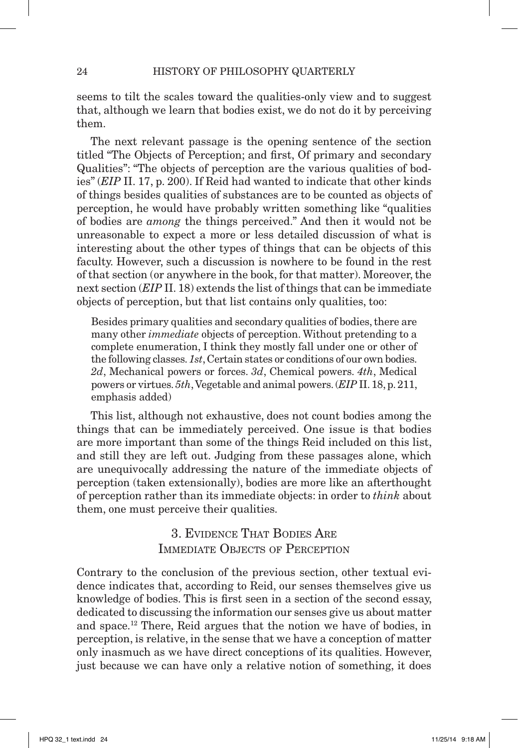seems to tilt the scales toward the qualities-only view and to suggest that, although we learn that bodies exist, we do not do it by perceiving them.

The next relevant passage is the opening sentence of the section titled "The Objects of Perception; and first, Of primary and secondary Qualities": "The objects of perception are the various qualities of bodies" (*EIP* II. 17, p. 200). If Reid had wanted to indicate that other kinds of things besides qualities of substances are to be counted as objects of perception, he would have probably written something like "qualities of bodies are *among* the things perceived." And then it would not be unreasonable to expect a more or less detailed discussion of what is interesting about the other types of things that can be objects of this faculty. However, such a discussion is nowhere to be found in the rest of that section (or anywhere in the book, for that matter). Moreover, the next section (*EIP* II. 18) extends the list of things that can be immediate objects of perception, but that list contains only qualities, too:

Besides primary qualities and secondary qualities of bodies, there are many other *immediate* objects of perception. Without pretending to a complete enumeration, I think they mostly fall under one or other of the following classes. *1st*, Certain states or conditions of our own bodies. *2d*, Mechanical powers or forces. *3d*, Chemical powers. *4th*, Medical powers or virtues. *5th*, Vegetable and animal powers. (*EIP* II.18, p. 211, emphasis added)

This list, although not exhaustive, does not count bodies among the things that can be immediately perceived. One issue is that bodies are more important than some of the things Reid included on this list, and still they are left out. Judging from these passages alone, which are unequivocally addressing the nature of the immediate objects of perception (taken extensionally), bodies are more like an afterthought of perception rather than its immediate objects: in order to *think* about them, one must perceive their qualities.

> 3. Evidence That Bodies Are IMMEDIATE OBJECTS OF PERCEPTION

Contrary to the conclusion of the previous section, other textual evidence indicates that, according to Reid, our senses themselves give us knowledge of bodies. This is first seen in a section of the second essay, dedicated to discussing the information our senses give us about matter and space.12 There, Reid argues that the notion we have of bodies, in perception, is relative, in the sense that we have a conception of matter only inasmuch as we have direct conceptions of its qualities. However, just because we can have only a relative notion of something, it does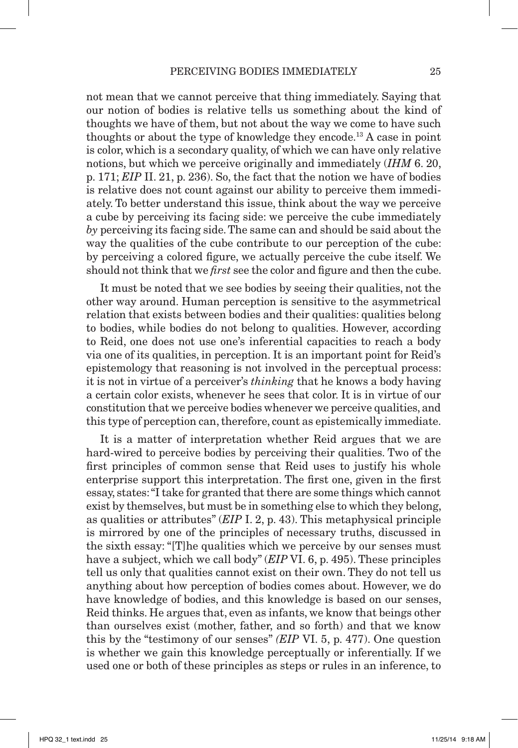not mean that we cannot perceive that thing immediately. Saying that our notion of bodies is relative tells us something about the kind of thoughts we have of them, but not about the way we come to have such thoughts or about the type of knowledge they encode.13 A case in point is color, which is a secondary quality, of which we can have only relative notions, but which we perceive originally and immediately (*IHM* 6. 20, p. 171; *EIP* II. 21, p. 236). So, the fact that the notion we have of bodies is relative does not count against our ability to perceive them immediately. To better understand this issue, think about the way we perceive a cube by perceiving its facing side: we perceive the cube immediately *by* perceiving its facing side. The same can and should be said about the way the qualities of the cube contribute to our perception of the cube: by perceiving a colored figure, we actually perceive the cube itself. We should not think that we *first* see the color and figure and then the cube.

 It must be noted that we see bodies by seeing their qualities, not the other way around. Human perception is sensitive to the asymmetrical relation that exists between bodies and their qualities: qualities belong to bodies, while bodies do not belong to qualities. However, according to Reid, one does not use one's inferential capacities to reach a body via one of its qualities, in perception. It is an important point for Reid's epistemology that reasoning is not involved in the perceptual process: it is not in virtue of a perceiver's *thinking* that he knows a body having a certain color exists, whenever he sees that color. It is in virtue of our constitution that we perceive bodies whenever we perceive qualities, and this type of perception can, therefore, count as epistemically immediate.

 It is a matter of interpretation whether Reid argues that we are hard-wired to perceive bodies by perceiving their qualities. Two of the first principles of common sense that Reid uses to justify his whole enterprise support this interpretation. The first one, given in the first essay, states: "I take for granted that there are some things which cannot exist by themselves, but must be in something else to which they belong, as qualities or attributes" (*EIP* I. 2, p. 43). This metaphysical principle is mirrored by one of the principles of necessary truths, discussed in the sixth essay: "[T]he qualities which we perceive by our senses must have a subject, which we call body" (*EIP* VI. 6, p. 495). These principles tell us only that qualities cannot exist on their own. They do not tell us anything about how perception of bodies comes about. However, we do have knowledge of bodies, and this knowledge is based on our senses, Reid thinks. He argues that, even as infants, we know that beings other than ourselves exist (mother, father, and so forth) and that we know this by the "testimony of our senses" *(EIP* VI. 5, p. 477). One question is whether we gain this knowledge perceptually or inferentially. If we used one or both of these principles as steps or rules in an inference, to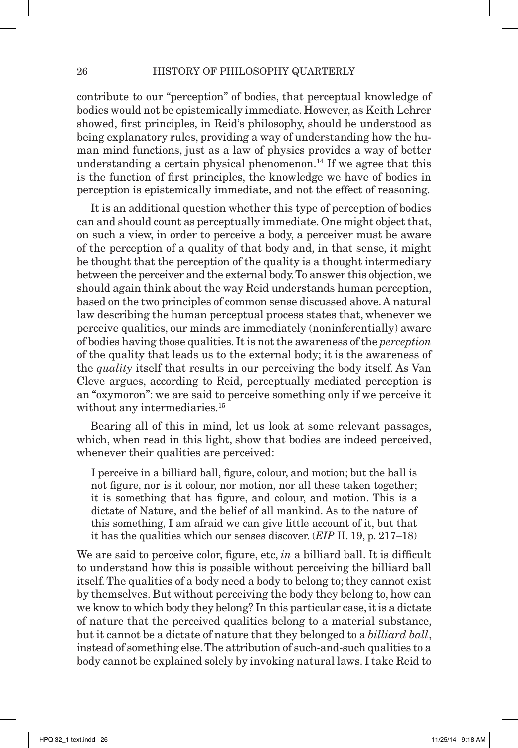contribute to our "perception" of bodies, that perceptual knowledge of bodies would not be epistemically immediate. However, as Keith Lehrer showed, first principles, in Reid's philosophy, should be understood as being explanatory rules, providing a way of understanding how the human mind functions, just as a law of physics provides a way of better understanding a certain physical phenomenon.<sup>14</sup> If we agree that this is the function of first principles, the knowledge we have of bodies in perception is epistemically immediate, and not the effect of reasoning.

 It is an additional question whether this type of perception of bodies can and should count as perceptually immediate. One might object that, on such a view, in order to perceive a body, a perceiver must be aware of the perception of a quality of that body and, in that sense, it might be thought that the perception of the quality is a thought intermediary between the perceiver and the external body. To answer this objection, we should again think about the way Reid understands human perception, based on the two principles of common sense discussed above. A natural law describing the human perceptual process states that, whenever we perceive qualities, our minds are immediately (noninferentially) aware of bodies having those qualities. It is not the awareness of the *perception* of the quality that leads us to the external body; it is the awareness of the *quality* itself that results in our perceiving the body itself. As Van Cleve argues, according to Reid, perceptually mediated perception is an "oxymoron": we are said to perceive something only if we perceive it without any intermediaries.<sup>15</sup>

Bearing all of this in mind, let us look at some relevant passages, which, when read in this light, show that bodies are indeed perceived, whenever their qualities are perceived:

I perceive in a billiard ball, figure, colour, and motion; but the ball is not figure, nor is it colour, nor motion, nor all these taken together; it is something that has figure, and colour, and motion. This is a dictate of Nature, and the belief of all mankind. As to the nature of this something, I am afraid we can give little account of it, but that it has the qualities which our senses discover. (*EIP* II. 19, p. 217–18)

We are said to perceive color, figure, etc, *in* a billiard ball. It is difficult to understand how this is possible without perceiving the billiard ball itself. The qualities of a body need a body to belong to; they cannot exist by themselves. But without perceiving the body they belong to, how can we know to which body they belong? In this particular case, it is a dictate of nature that the perceived qualities belong to a material substance, but it cannot be a dictate of nature that they belonged to a *billiard ball*, instead of something else. The attribution of such-and-such qualities to a body cannot be explained solely by invoking natural laws. I take Reid to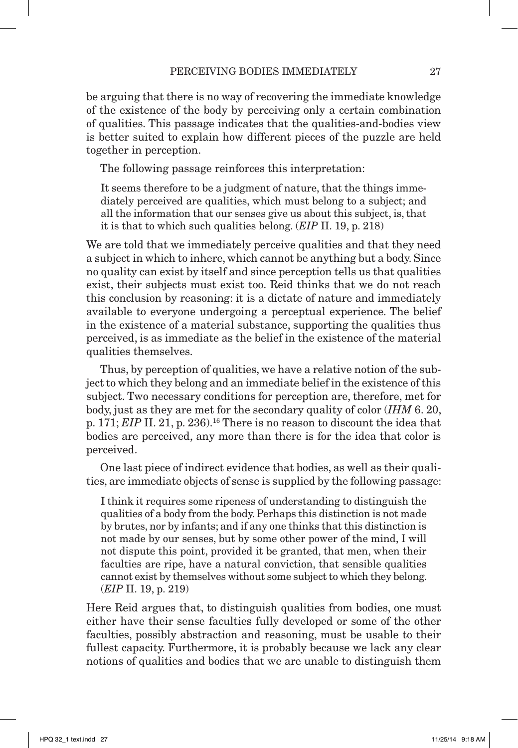be arguing that there is no way of recovering the immediate knowledge of the existence of the body by perceiving only a certain combination of qualities. This passage indicates that the qualities-and-bodies view is better suited to explain how different pieces of the puzzle are held together in perception.

The following passage reinforces this interpretation:

It seems therefore to be a judgment of nature, that the things immediately perceived are qualities, which must belong to a subject; and all the information that our senses give us about this subject, is, that it is that to which such qualities belong. (*EIP* II. 19, p. 218)

We are told that we immediately perceive qualities and that they need a subject in which to inhere, which cannot be anything but a body. Since no quality can exist by itself and since perception tells us that qualities exist, their subjects must exist too. Reid thinks that we do not reach this conclusion by reasoning: it is a dictate of nature and immediately available to everyone undergoing a perceptual experience. The belief in the existence of a material substance, supporting the qualities thus perceived, is as immediate as the belief in the existence of the material qualities themselves.

Thus, by perception of qualities, we have a relative notion of the subject to which they belong and an immediate belief in the existence of this subject. Two necessary conditions for perception are, therefore, met for body, just as they are met for the secondary quality of color (*IHM* 6. 20, p. 171; *EIP* II. 21, p. 236).<sup>16</sup> There is no reason to discount the idea that bodies are perceived, any more than there is for the idea that color is perceived.

 One last piece of indirect evidence that bodies, as well as their qualities, are immediate objects of sense is supplied by the following passage:

I think it requires some ripeness of understanding to distinguish the qualities of a body from the body. Perhaps this distinction is not made by brutes, nor by infants; and if any one thinks that this distinction is not made by our senses, but by some other power of the mind, I will not dispute this point, provided it be granted, that men, when their faculties are ripe, have a natural conviction, that sensible qualities cannot exist by themselves without some subject to which they belong. (*EIP* II. 19, p. 219)

Here Reid argues that, to distinguish qualities from bodies, one must either have their sense faculties fully developed or some of the other faculties, possibly abstraction and reasoning, must be usable to their fullest capacity. Furthermore, it is probably because we lack any clear notions of qualities and bodies that we are unable to distinguish them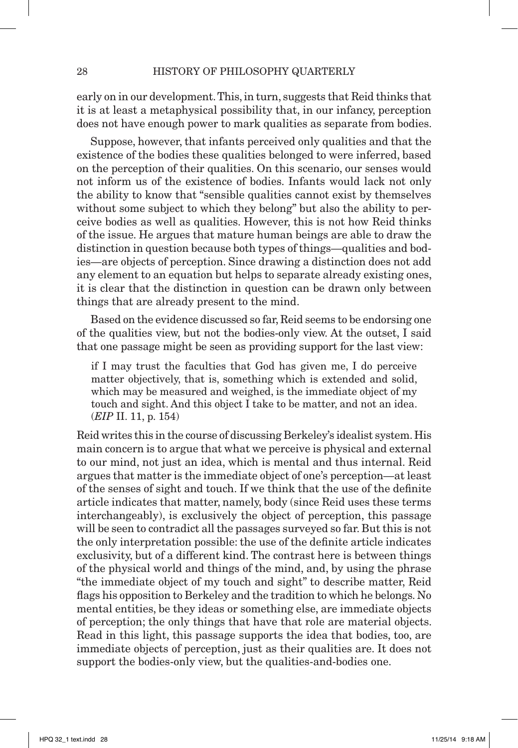early on in our development. This, in turn, suggests that Reid thinks that it is at least a metaphysical possibility that, in our infancy, perception does not have enough power to mark qualities as separate from bodies.

 Suppose, however, that infants perceived only qualities and that the existence of the bodies these qualities belonged to were inferred, based on the perception of their qualities. On this scenario, our senses would not inform us of the existence of bodies. Infants would lack not only the ability to know that "sensible qualities cannot exist by themselves without some subject to which they belong" but also the ability to perceive bodies as well as qualities. However, this is not how Reid thinks of the issue. He argues that mature human beings are able to draw the distinction in question because both types of things—qualities and bodies—are objects of perception. Since drawing a distinction does not add any element to an equation but helps to separate already existing ones, it is clear that the distinction in question can be drawn only between things that are already present to the mind.

Based on the evidence discussed so far, Reid seems to be endorsing one of the qualities view, but not the bodies-only view. At the outset, I said that one passage might be seen as providing support for the last view:

if I may trust the faculties that God has given me, I do perceive matter objectively, that is, something which is extended and solid, which may be measured and weighed, is the immediate object of my touch and sight. And this object I take to be matter, and not an idea. (*EIP* II. 11, p. 154)

Reid writes this in the course of discussing Berkeley's idealist system. His main concern is to argue that what we perceive is physical and external to our mind, not just an idea, which is mental and thus internal. Reid argues that matter is the immediate object of one's perception—at least of the senses of sight and touch. If we think that the use of the definite article indicates that matter, namely, body (since Reid uses these terms interchangeably), is exclusively the object of perception, this passage will be seen to contradict all the passages surveyed so far. But this is not the only interpretation possible: the use of the definite article indicates exclusivity, but of a different kind. The contrast here is between things of the physical world and things of the mind, and, by using the phrase "the immediate object of my touch and sight" to describe matter, Reid flags his opposition to Berkeley and the tradition to which he belongs. No mental entities, be they ideas or something else, are immediate objects of perception; the only things that have that role are material objects. Read in this light, this passage supports the idea that bodies, too, are immediate objects of perception, just as their qualities are. It does not support the bodies-only view, but the qualities-and-bodies one.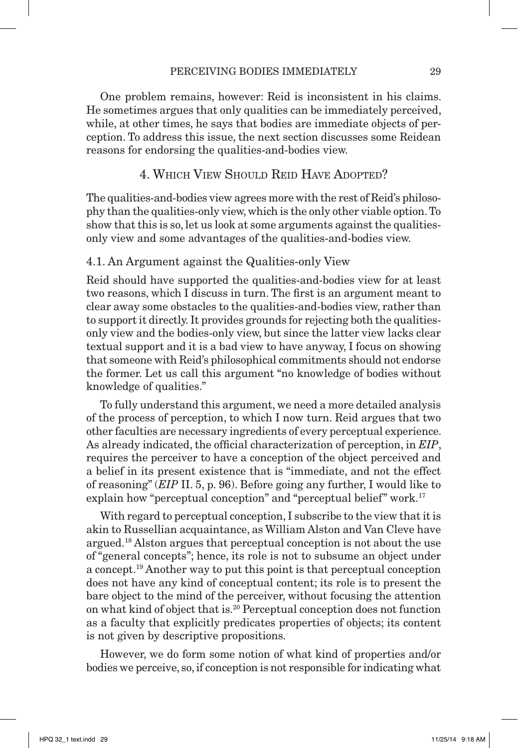One problem remains, however: Reid is inconsistent in his claims. He sometimes argues that only qualities can be immediately perceived, while, at other times, he says that bodies are immediate objects of perception. To address this issue, the next section discusses some Reidean reasons for endorsing the qualities-and-bodies view.

#### 4. Which View Should Reid Have Adopted?

The qualities-and-bodies view agrees more with the rest of Reid's philosophy than the qualities-only view, which is the only other viable option. To show that this is so, let us look at some arguments against the qualitiesonly view and some advantages of the qualities-and-bodies view.

#### 4.1. An Argument against the Qualities-only View

Reid should have supported the qualities-and-bodies view for at least two reasons, which I discuss in turn. The first is an argument meant to clear away some obstacles to the qualities-and-bodies view, rather than to support it directly. It provides grounds for rejecting both the qualitiesonly view and the bodies-only view, but since the latter view lacks clear textual support and it is a bad view to have anyway, I focus on showing that someone with Reid's philosophical commitments should not endorse the former. Let us call this argument "no knowledge of bodies without knowledge of qualities."

To fully understand this argument, we need a more detailed analysis of the process of perception, to which I now turn. Reid argues that two other faculties are necessary ingredients of every perceptual experience. As already indicated, the official characterization of perception, in *EIP*, requires the perceiver to have a conception of the object perceived and a belief in its present existence that is "immediate, and not the effect of reasoning" (*EIP* II. 5, p. 96). Before going any further, I would like to explain how "perceptual conception" and "perceptual belief" work.<sup>17</sup>

With regard to perceptual conception, I subscribe to the view that it is akin to Russellian acquaintance, as William Alston and Van Cleve have argued.18 Alston argues that perceptual conception is not about the use of "general concepts"; hence, its role is not to subsume an object under a concept.19 Another way to put this point is that perceptual conception does not have any kind of conceptual content; its role is to present the bare object to the mind of the perceiver, without focusing the attention on what kind of object that is.20 Perceptual conception does not function as a faculty that explicitly predicates properties of objects; its content is not given by descriptive propositions.

However, we do form some notion of what kind of properties and/or bodies we perceive, so, if conception is not responsible for indicating what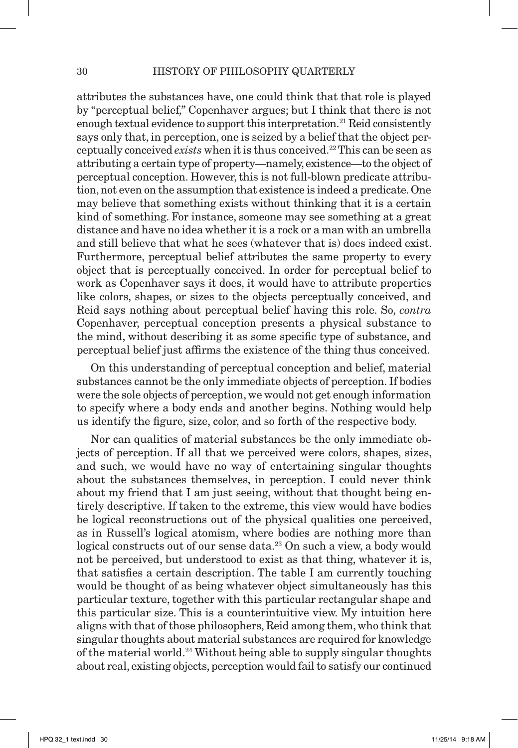attributes the substances have, one could think that that role is played by "perceptual belief," Copenhaver argues; but I think that there is not enough textual evidence to support this interpretation.<sup>21</sup> Reid consistently says only that, in perception, one is seized by a belief that the object perceptually conceived *exists* when it is thus conceived.22 This can be seen as attributing a certain type of property—namely, existence—to the object of perceptual conception. However, this is not full-blown predicate attribution, not even on the assumption that existence is indeed a predicate. One may believe that something exists without thinking that it is a certain kind of something. For instance, someone may see something at a great distance and have no idea whether it is a rock or a man with an umbrella and still believe that what he sees (whatever that is) does indeed exist. Furthermore, perceptual belief attributes the same property to every object that is perceptually conceived. In order for perceptual belief to work as Copenhaver says it does, it would have to attribute properties like colors, shapes, or sizes to the objects perceptually conceived, and Reid says nothing about perceptual belief having this role. So, *contra* Copenhaver, perceptual conception presents a physical substance to the mind, without describing it as some specific type of substance, and perceptual belief just affirms the existence of the thing thus conceived.

 On this understanding of perceptual conception and belief, material substances cannot be the only immediate objects of perception. If bodies were the sole objects of perception, we would not get enough information to specify where a body ends and another begins. Nothing would help us identify the figure, size, color, and so forth of the respective body.

Nor can qualities of material substances be the only immediate objects of perception. If all that we perceived were colors, shapes, sizes, and such, we would have no way of entertaining singular thoughts about the substances themselves, in perception. I could never think about my friend that I am just seeing, without that thought being entirely descriptive. If taken to the extreme, this view would have bodies be logical reconstructions out of the physical qualities one perceived, as in Russell's logical atomism, where bodies are nothing more than logical constructs out of our sense data.<sup>23</sup> On such a view, a body would not be perceived, but understood to exist as that thing, whatever it is, that satisfies a certain description. The table I am currently touching would be thought of as being whatever object simultaneously has this particular texture, together with this particular rectangular shape and this particular size. This is a counterintuitive view. My intuition here aligns with that of those philosophers, Reid among them, who think that singular thoughts about material substances are required for knowledge of the material world.24 Without being able to supply singular thoughts about real, existing objects, perception would fail to satisfy our continued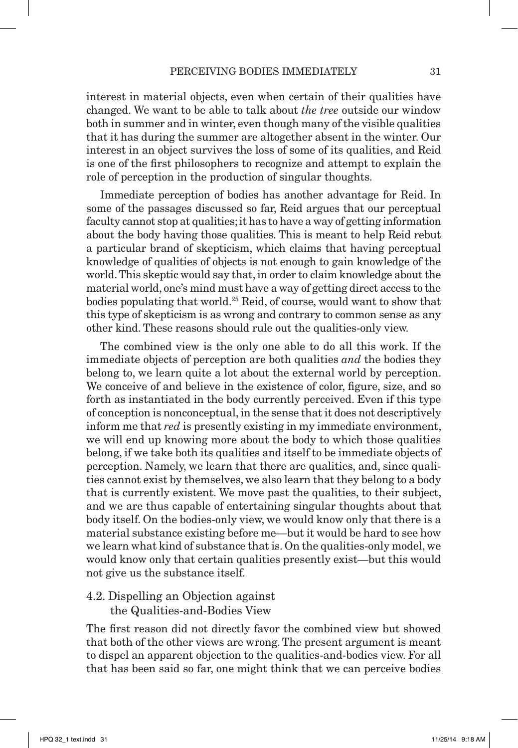interest in material objects, even when certain of their qualities have changed. We want to be able to talk about *the tree* outside our window both in summer and in winter, even though many of the visible qualities that it has during the summer are altogether absent in the winter. Our interest in an object survives the loss of some of its qualities, and Reid is one of the first philosophers to recognize and attempt to explain the role of perception in the production of singular thoughts.

 Immediate perception of bodies has another advantage for Reid. In some of the passages discussed so far, Reid argues that our perceptual faculty cannot stop at qualities; it has to have a way of getting information about the body having those qualities. This is meant to help Reid rebut a particular brand of skepticism, which claims that having perceptual knowledge of qualities of objects is not enough to gain knowledge of the world. This skeptic would say that, in order to claim knowledge about the material world, one's mind must have a way of getting direct access to the bodies populating that world.25 Reid, of course, would want to show that this type of skepticism is as wrong and contrary to common sense as any other kind. These reasons should rule out the qualities-only view.

The combined view is the only one able to do all this work. If the immediate objects of perception are both qualities *and* the bodies they belong to, we learn quite a lot about the external world by perception. We conceive of and believe in the existence of color, figure, size, and so forth as instantiated in the body currently perceived. Even if this type of conception is nonconceptual, in the sense that it does not descriptively inform me that *red* is presently existing in my immediate environment, we will end up knowing more about the body to which those qualities belong, if we take both its qualities and itself to be immediate objects of perception. Namely, we learn that there are qualities, and, since qualities cannot exist by themselves, we also learn that they belong to a body that is currently existent. We move past the qualities, to their subject, and we are thus capable of entertaining singular thoughts about that body itself. On the bodies-only view, we would know only that there is a material substance existing before me—but it would be hard to see how we learn what kind of substance that is. On the qualities-only model, we would know only that certain qualities presently exist—but this would not give us the substance itself.

4.2. Dispelling an Objection against the Qualities-and-Bodies View

The first reason did not directly favor the combined view but showed that both of the other views are wrong. The present argument is meant to dispel an apparent objection to the qualities-and-bodies view. For all that has been said so far, one might think that we can perceive bodies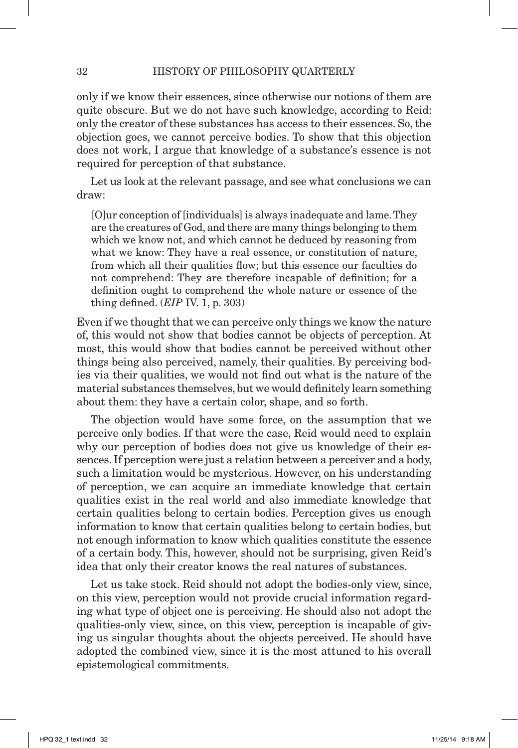only if we know their essences, since otherwise our notions of them are quite obscure. But we do not have such knowledge, according to Reid: only the creator of these substances has access to their essences. So, the objection goes, we cannot perceive bodies. To show that this objection does not work, I argue that knowledge of a substance's essence is not required for perception of that substance.

 Let us look at the relevant passage, and see what conclusions we can draw:

[O]ur conception of [individuals] is always inadequate and lame. They are the creatures of God, and there are many things belonging to them which we know not, and which cannot be deduced by reasoning from what we know: They have a real essence, or constitution of nature, from which all their qualities flow; but this essence our faculties do not comprehend: They are therefore incapable of definition; for a definition ought to comprehend the whole nature or essence of the thing defined. (*EIP* IV. 1, p. 303)

Even if we thought that we can perceive only things we know the nature of, this would not show that bodies cannot be objects of perception. At most, this would show that bodies cannot be perceived without other things being also perceived, namely, their qualities. By perceiving bodies via their qualities, we would not find out what is the nature of the material substances themselves, but we would definitely learn something about them: they have a certain color, shape, and so forth.

The objection would have some force, on the assumption that we perceive only bodies. If that were the case, Reid would need to explain why our perception of bodies does not give us knowledge of their essences. If perception were just a relation between a perceiver and a body, such a limitation would be mysterious. However, on his understanding of perception, we can acquire an immediate knowledge that certain qualities exist in the real world and also immediate knowledge that certain qualities belong to certain bodies. Perception gives us enough information to know that certain qualities belong to certain bodies, but not enough information to know which qualities constitute the essence of a certain body. This, however, should not be surprising, given Reid's idea that only their creator knows the real natures of substances.

 Let us take stock. Reid should not adopt the bodies-only view, since, on this view, perception would not provide crucial information regarding what type of object one is perceiving. He should also not adopt the qualities-only view, since, on this view, perception is incapable of giving us singular thoughts about the objects perceived. He should have adopted the combined view, since it is the most attuned to his overall epistemological commitments.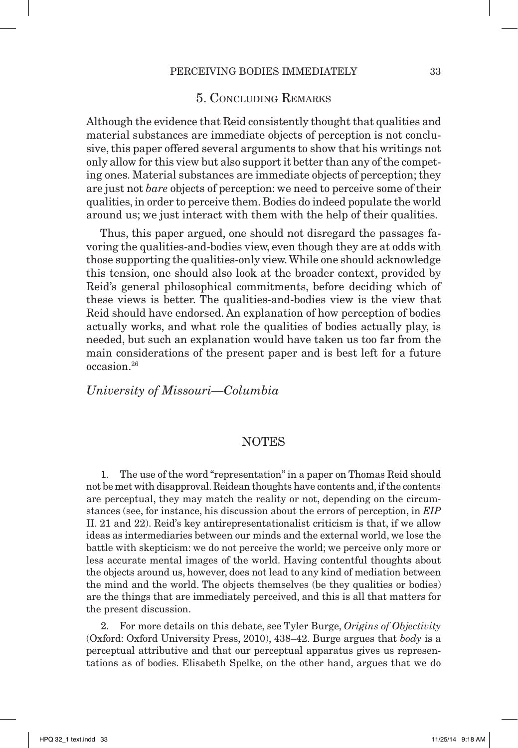#### 5. Concluding Remarks

Although the evidence that Reid consistently thought that qualities and material substances are immediate objects of perception is not conclusive, this paper offered several arguments to show that his writings not only allow for this view but also support it better than any of the competing ones. Material substances are immediate objects of perception; they are just not *bare* objects of perception: we need to perceive some of their qualities, in order to perceive them. Bodies do indeed populate the world around us; we just interact with them with the help of their qualities.

Thus, this paper argued, one should not disregard the passages favoring the qualities-and-bodies view, even though they are at odds with those supporting the qualities-only view. While one should acknowledge this tension, one should also look at the broader context, provided by Reid's general philosophical commitments, before deciding which of these views is better. The qualities-and-bodies view is the view that Reid should have endorsed. An explanation of how perception of bodies actually works, and what role the qualities of bodies actually play, is needed, but such an explanation would have taken us too far from the main considerations of the present paper and is best left for a future occasion.26

*University of Missouri—Columbia*

#### **NOTES**

1. The use of the word "representation" in a paper on Thomas Reid should not be met with disapproval. Reidean thoughts have contents and, if the contents are perceptual, they may match the reality or not, depending on the circumstances (see, for instance, his discussion about the errors of perception, in *EIP*  II. 21 and 22). Reid's key antirepresentationalist criticism is that, if we allow ideas as intermediaries between our minds and the external world, we lose the battle with skepticism: we do not perceive the world; we perceive only more or less accurate mental images of the world. Having contentful thoughts about the objects around us, however, does not lead to any kind of mediation between the mind and the world. The objects themselves (be they qualities or bodies) are the things that are immediately perceived, and this is all that matters for the present discussion.

2. For more details on this debate, see Tyler Burge, *Origins of Objectivity* (Oxford: Oxford University Press, 2010), 438–42. Burge argues that *body* is a perceptual attributive and that our perceptual apparatus gives us representations as of bodies. Elisabeth Spelke, on the other hand, argues that we do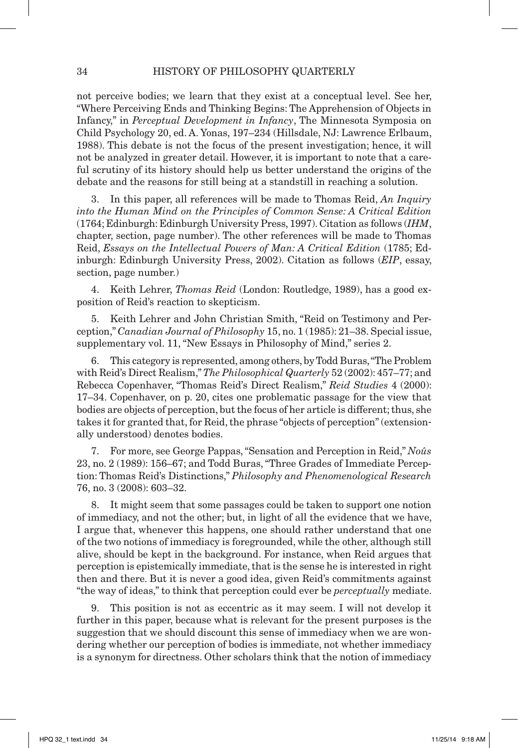not perceive bodies; we learn that they exist at a conceptual level. See her, "Where Perceiving Ends and Thinking Begins: The Apprehension of Objects in Infancy," in *Perceptual Development in Infancy*, The Minnesota Symposia on Child Psychology 20, ed. A. Yonas, 197–234 (Hillsdale, NJ: Lawrence Erlbaum, 1988). This debate is not the focus of the present investigation; hence, it will not be analyzed in greater detail. However, it is important to note that a careful scrutiny of its history should help us better understand the origins of the debate and the reasons for still being at a standstill in reaching a solution.

3. In this paper, all references will be made to Thomas Reid, *An Inquiry into the Human Mind on the Principles of Common Sense: A Critical Edition* (1764; Edinburgh: Edinburgh University Press, 1997). Citation as follows (*IHM*, chapter, section, page number). The other references will be made to Thomas Reid, *Essays on the Intellectual Powers of Man: A Critical Edition* (1785; Edinburgh: Edinburgh University Press, 2002). Citation as follows (*EIP*, essay, section, page number.)

4. Keith Lehrer, *Thomas Reid* (London: Routledge, 1989), has a good exposition of Reid's reaction to skepticism.

5. Keith Lehrer and John Christian Smith, "Reid on Testimony and Perception," *Canadian Journal of Philosophy* 15, no. 1 (1985): 21–38. Special issue, supplementary vol. 11, "New Essays in Philosophy of Mind," series 2.

6. This category is represented, among others, by Todd Buras, "The Problem with Reid's Direct Realism," *The Philosophical Quarterly* 52 (2002): 457–77; and Rebecca Copenhaver, "Thomas Reid's Direct Realism," *Reid Studies* 4 (2000): 17–34. Copenhaver, on p. 20, cites one problematic passage for the view that bodies are objects of perception, but the focus of her article is different; thus, she takes it for granted that, for Reid, the phrase "objects of perception" (extensionally understood) denotes bodies.

7. For more, see George Pappas, "Sensation and Perception in Reid," *Noûs* 23, no. 2 (1989): 156–67; and Todd Buras, "Three Grades of Immediate Perception: Thomas Reid's Distinctions," *Philosophy and Phenomenological Research* 76, no. 3 (2008): 603–32.

8. It might seem that some passages could be taken to support one notion of immediacy, and not the other; but, in light of all the evidence that we have, I argue that, whenever this happens, one should rather understand that one of the two notions of immediacy is foregrounded, while the other, although still alive, should be kept in the background. For instance, when Reid argues that perception is epistemically immediate, that is the sense he is interested in right then and there. But it is never a good idea, given Reid's commitments against "the way of ideas," to think that perception could ever be *perceptually* mediate.

9. This position is not as eccentric as it may seem. I will not develop it further in this paper, because what is relevant for the present purposes is the suggestion that we should discount this sense of immediacy when we are wondering whether our perception of bodies is immediate, not whether immediacy is a synonym for directness. Other scholars think that the notion of immediacy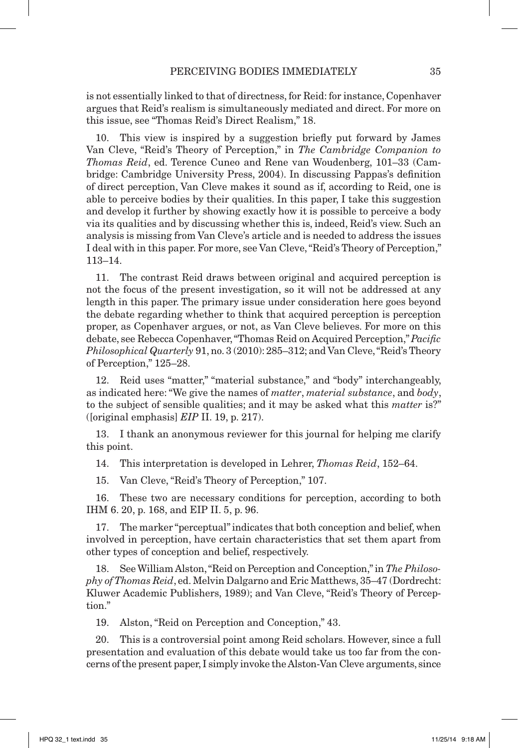is not essentially linked to that of directness, for Reid: for instance, Copenhaver argues that Reid's realism is simultaneously mediated and direct. For more on this issue, see "Thomas Reid's Direct Realism," 18.

10. This view is inspired by a suggestion briefly put forward by James Van Cleve, "Reid's Theory of Perception," in *The Cambridge Companion to Thomas Reid*, ed. Terence Cuneo and Rene van Woudenberg, 101–33 (Cambridge: Cambridge University Press, 2004). In discussing Pappas's definition of direct perception, Van Cleve makes it sound as if, according to Reid, one is able to perceive bodies by their qualities. In this paper, I take this suggestion and develop it further by showing exactly how it is possible to perceive a body via its qualities and by discussing whether this is, indeed, Reid's view. Such an analysis is missing from Van Cleve's article and is needed to address the issues I deal with in this paper. For more, see Van Cleve, "Reid's Theory of Perception," 113–14.

11. The contrast Reid draws between original and acquired perception is not the focus of the present investigation, so it will not be addressed at any length in this paper. The primary issue under consideration here goes beyond the debate regarding whether to think that acquired perception is perception proper, as Copenhaver argues, or not, as Van Cleve believes. For more on this debate, see Rebecca Copenhaver, "Thomas Reid on Acquired Perception," *Pacific Philosophical Quarterly* 91, no. 3 (2010): 285–312; and Van Cleve, "Reid's Theory of Perception," 125–28.

12. Reid uses "matter," "material substance," and "body" interchangeably, as indicated here: "We give the names of *matter*, *material substance*, and *body*, to the subject of sensible qualities; and it may be asked what this *matter* is?" ([original emphasis] *EIP* II. 19, p. 217).

13. I thank an anonymous reviewer for this journal for helping me clarify this point.

14. This interpretation is developed in Lehrer, *Thomas Reid*, 152–64.

15. Van Cleve, "Reid's Theory of Perception," 107.

16. These two are necessary conditions for perception, according to both IHM 6. 20, p. 168, and EIP II. 5, p. 96.

17. The marker "perceptual" indicates that both conception and belief, when involved in perception, have certain characteristics that set them apart from other types of conception and belief, respectively.

18. See William Alston, "Reid on Perception and Conception," in *The Philosophy of Thomas Reid*, ed. Melvin Dalgarno and Eric Matthews, 35–47 (Dordrecht: Kluwer Academic Publishers, 1989); and Van Cleve, "Reid's Theory of Perception."

19. Alston, "Reid on Perception and Conception," 43.

20. This is a controversial point among Reid scholars. However, since a full presentation and evaluation of this debate would take us too far from the concerns of the present paper, I simply invoke the Alston-Van Cleve arguments, since